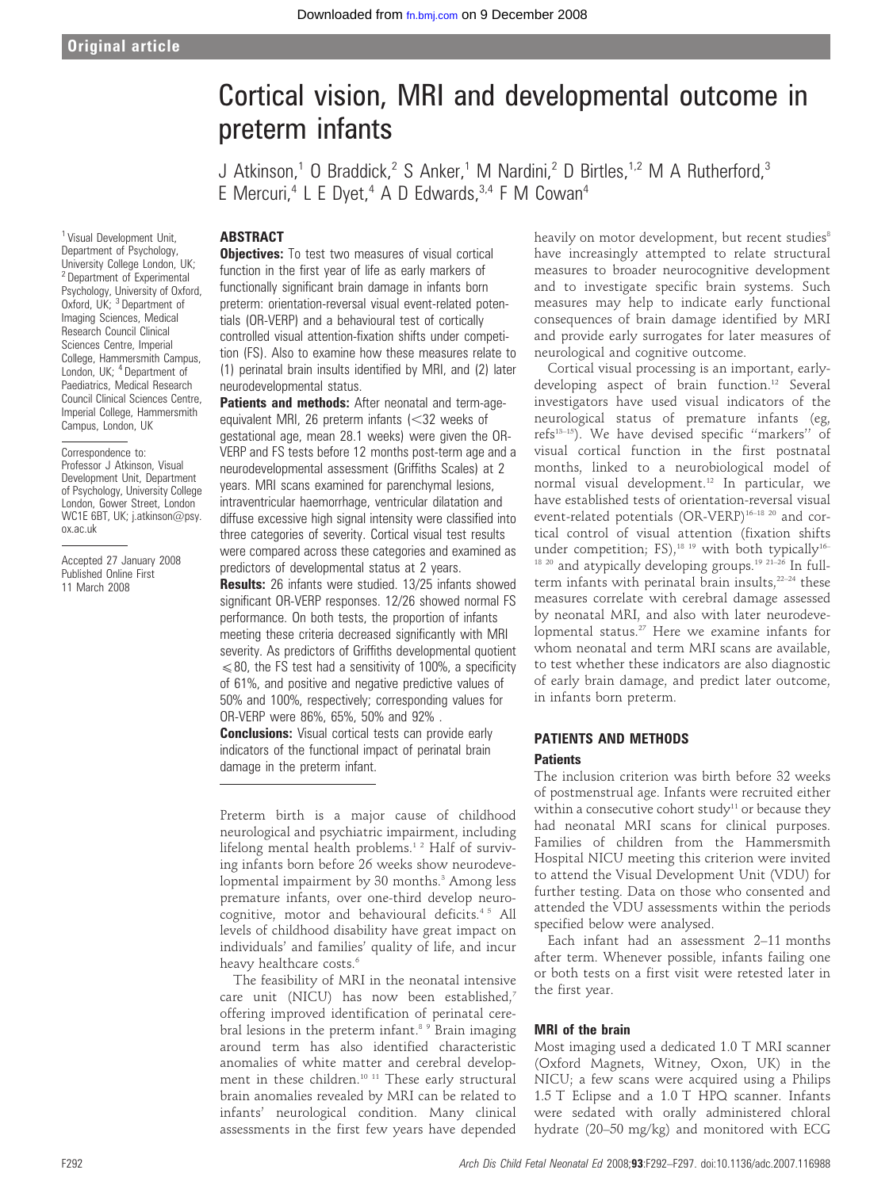# Cortical vision, MRI and developmental outcome in preterm infants

J Atkinson,<sup>1</sup> O Braddick,<sup>2</sup> S Anker,<sup>1</sup> M Nardini,<sup>2</sup> D Birtles,<sup>1,2</sup> M A Rutherford,<sup>3</sup> E Mercuri,<sup>4</sup> L E Dyet,<sup>4</sup> A D Edwards,  $3,4$  F M Cowan<sup>4</sup>

# ABSTRACT

<sup>1</sup> Visual Development Unit, Department of Psychology, University College London, UK; <sup>2</sup> Department of Experimental Psychology, University of Oxford, Oxford, UK; <sup>3</sup> Department of Imaging Sciences, Medical Research Council Clinical Sciences Centre, Imperial College, Hammersmith Campus, London, UK; <sup>4</sup> Department of Paediatrics, Medical Research Council Clinical Sciences Centre, Imperial College, Hammersmith Campus, London, UK

Correspondence to: Professor J Atkinson, Visual Development Unit, Department of Psychology, University College London, Gower Street, London WC1E 6BT, UK; j.atkinson@psy. ox.ac.uk

Accepted 27 January 2008 Published Online First 11 March 2008

**Objectives:** To test two measures of visual cortical function in the first year of life as early markers of functionally significant brain damage in infants born preterm: orientation-reversal visual event-related potentials (OR-VERP) and a behavioural test of cortically controlled visual attention-fixation shifts under competition (FS). Also to examine how these measures relate to (1) perinatal brain insults identified by MRI, and (2) later neurodevelopmental status.

Patients and methods: After neonatal and term-ageequivalent MRI, 26 preterm infants  $\leq$  32 weeks of gestational age, mean 28.1 weeks) were given the OR-VERP and FS tests before 12 months post-term age and a neurodevelopmental assessment (Griffiths Scales) at 2 years. MRI scans examined for parenchymal lesions, intraventricular haemorrhage, ventricular dilatation and diffuse excessive high signal intensity were classified into three categories of severity. Cortical visual test results were compared across these categories and examined as predictors of developmental status at 2 years.

Results: 26 infants were studied. 13/25 infants showed significant OR-VERP responses. 12/26 showed normal FS performance. On both tests, the proportion of infants meeting these criteria decreased significantly with MRI severity. As predictors of Griffiths developmental quotient  $\leq 80$ , the FS test had a sensitivity of 100%, a specificity of 61%, and positive and negative predictive values of 50% and 100%, respectively; corresponding values for OR-VERP were 86%, 65%, 50% and 92% .

**Conclusions:** Visual cortical tests can provide early indicators of the functional impact of perinatal brain damage in the preterm infant.

Preterm birth is a major cause of childhood neurological and psychiatric impairment, including lifelong mental health problems.<sup>12</sup> Half of surviving infants born before 26 weeks show neurodevelopmental impairment by 30 months.<sup>3</sup> Among less premature infants, over one-third develop neurocognitive, motor and behavioural deficits.4 5 All levels of childhood disability have great impact on individuals' and families' quality of life, and incur heavy healthcare costs.<sup>6</sup>

The feasibility of MRI in the neonatal intensive care unit (NICU) has now been established, $7$ offering improved identification of perinatal cerebral lesions in the preterm infant.<sup>8 9</sup> Brain imaging around term has also identified characteristic anomalies of white matter and cerebral development in these children.<sup>10 11</sup> These early structural brain anomalies revealed by MRI can be related to infants' neurological condition. Many clinical assessments in the first few years have depended heavily on motor development, but recent studies<sup>8</sup> have increasingly attempted to relate structural measures to broader neurocognitive development and to investigate specific brain systems. Such measures may help to indicate early functional consequences of brain damage identified by MRI and provide early surrogates for later measures of neurological and cognitive outcome.

Cortical visual processing is an important, earlydeveloping aspect of brain function.<sup>12</sup> Several investigators have used visual indicators of the neurological status of premature infants (eg, refs13–15). We have devised specific ''markers'' of visual cortical function in the first postnatal months, linked to a neurobiological model of normal visual development.<sup>12</sup> In particular, we have established tests of orientation-reversal visual event-related potentials (OR-VERP)<sup>16-18 20</sup> and cortical control of visual attention (fixation shifts under competition; FS),<sup>18 19</sup> with both typically<sup>16–</sup>  $1820$  and atypically developing groups.<sup>19 21–26</sup> In fullterm infants with perinatal brain insults,<sup>22–24</sup> these measures correlate with cerebral damage assessed by neonatal MRI, and also with later neurodevelopmental status.27 Here we examine infants for whom neonatal and term MRI scans are available, to test whether these indicators are also diagnostic of early brain damage, and predict later outcome, in infants born preterm.

# PATIENTS AND METHODS

# **Patients**

The inclusion criterion was birth before 32 weeks of postmenstrual age. Infants were recruited either within a consecutive cohort study<sup>11</sup> or because they had neonatal MRI scans for clinical purposes. Families of children from the Hammersmith Hospital NICU meeting this criterion were invited to attend the Visual Development Unit (VDU) for further testing. Data on those who consented and attended the VDU assessments within the periods specified below were analysed.

Each infant had an assessment 2–11 months after term. Whenever possible, infants failing one or both tests on a first visit were retested later in the first year.

#### MRI of the brain

Most imaging used a dedicated 1.0 T MRI scanner (Oxford Magnets, Witney, Oxon, UK) in the NICU; a few scans were acquired using a Philips 1.5 T Eclipse and a 1.0 T HPQ scanner. Infants were sedated with orally administered chloral hydrate (20–50 mg/kg) and monitored with ECG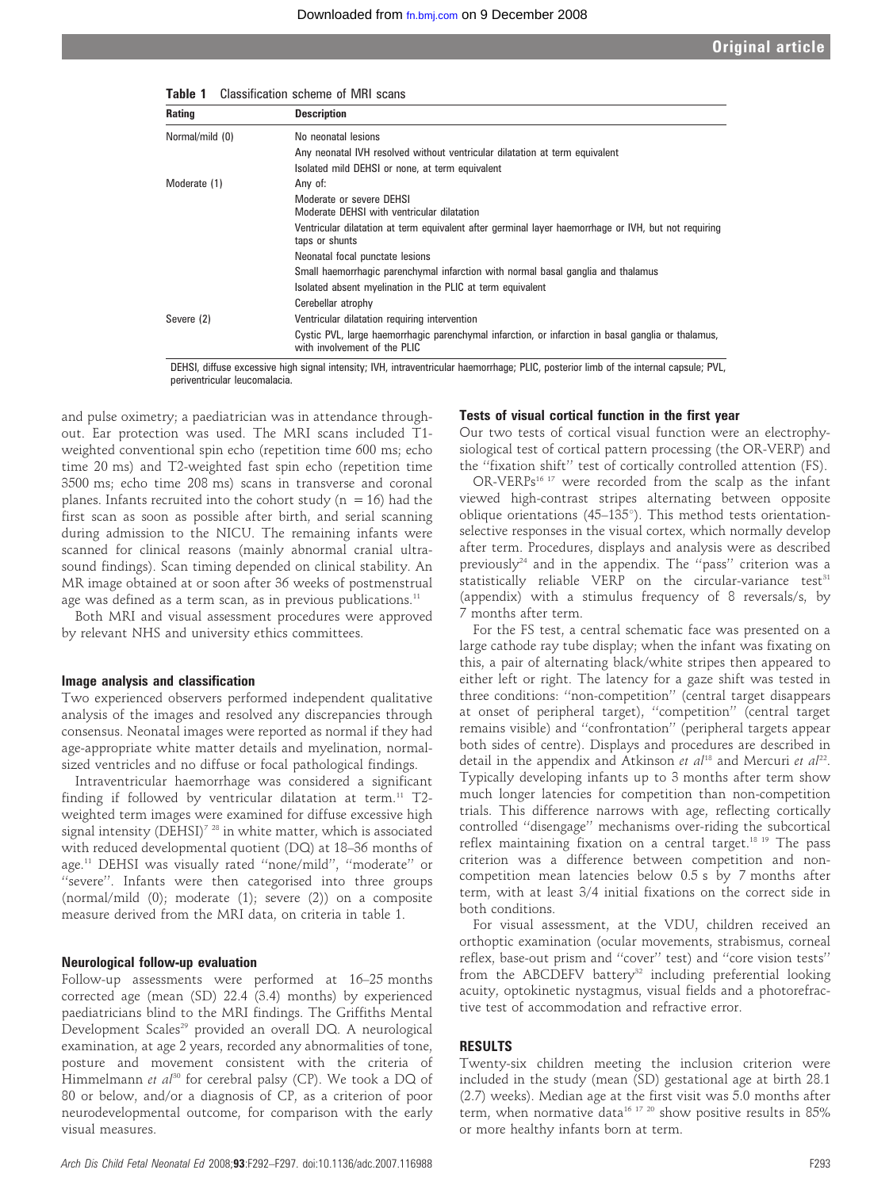and pulse oximetry; a paediatrician was in attendance throughout. Ear protection was used. The MRI scans included T1 weighted conventional spin echo (repetition time 600 ms; echo time 20 ms) and T2-weighted fast spin echo (repetition time 3500 ms; echo time 208 ms) scans in transverse and coronal planes. Infants recruited into the cohort study ( $n = 16$ ) had the first scan as soon as possible after birth, and serial scanning during admission to the NICU. The remaining infants were scanned for clinical reasons (mainly abnormal cranial ultrasound findings). Scan timing depended on clinical stability. An MR image obtained at or soon after 36 weeks of postmenstrual with involvement of the PLIC DEHSI, diffuse excessive high signal intensity; IVH, intraventricular haemorrhage; PLIC, posterior limb of the internal capsule; PVL, periventricular leucomalacia.

Both MRI and visual assessment procedures were approved by relevant NHS and university ethics committees.

#### Image analysis and classification

Two experienced observers performed independent qualitative analysis of the images and resolved any discrepancies through consensus. Neonatal images were reported as normal if they had age-appropriate white matter details and myelination, normalsized ventricles and no diffuse or focal pathological findings.

age was defined as a term scan, as in previous publications.<sup>11</sup>

Intraventricular haemorrhage was considered a significant finding if followed by ventricular dilatation at term.<sup>11</sup> T2weighted term images were examined for diffuse excessive high signal intensity (DEHSI)<sup>7 28</sup> in white matter, which is associated with reduced developmental quotient (DQ) at 18–36 months of age.11 DEHSI was visually rated ''none/mild'', ''moderate'' or "severe". Infants were then categorised into three groups (normal/mild (0); moderate (1); severe (2)) on a composite measure derived from the MRI data, on criteria in table 1.

# Neurological follow-up evaluation

Follow-up assessments were performed at 16–25 months corrected age (mean (SD) 22.4 (3.4) months) by experienced paediatricians blind to the MRI findings. The Griffiths Mental Development Scales<sup>29</sup> provided an overall DQ. A neurological examination, at age 2 years, recorded any abnormalities of tone, posture and movement consistent with the criteria of Himmelmann et al<sup>30</sup> for cerebral palsy (CP). We took a DQ of 80 or below, and/or a diagnosis of CP, as a criterion of poor neurodevelopmental outcome, for comparison with the early visual measures.

#### Tests of visual cortical function in the first year

Our two tests of cortical visual function were an electrophysiological test of cortical pattern processing (the OR-VERP) and the ''fixation shift'' test of cortically controlled attention (FS).

OR-VERPs<sup>16 17</sup> were recorded from the scalp as the infant viewed high-contrast stripes alternating between opposite oblique orientations  $(45-135^{\circ})$ . This method tests orientationselective responses in the visual cortex, which normally develop after term. Procedures, displays and analysis were as described previously<sup>24</sup> and in the appendix. The "pass" criterion was a statistically reliable VERP on the circular-variance test $31$ (appendix) with a stimulus frequency of 8 reversals/s, by 7 months after term.

For the FS test, a central schematic face was presented on a large cathode ray tube display; when the infant was fixating on this, a pair of alternating black/white stripes then appeared to either left or right. The latency for a gaze shift was tested in three conditions: ''non-competition'' (central target disappears at onset of peripheral target), ''competition'' (central target remains visible) and ''confrontation'' (peripheral targets appear both sides of centre). Displays and procedures are described in detail in the appendix and Atkinson et  $d^{18}$  and Mercuri et  $d^{22}$ . Typically developing infants up to 3 months after term show much longer latencies for competition than non-competition trials. This difference narrows with age, reflecting cortically controlled ''disengage'' mechanisms over-riding the subcortical reflex maintaining fixation on a central target.<sup>18 19</sup> The pass criterion was a difference between competition and noncompetition mean latencies below 0.5 s by 7 months after term, with at least 3/4 initial fixations on the correct side in both conditions.

For visual assessment, at the VDU, children received an orthoptic examination (ocular movements, strabismus, corneal reflex, base-out prism and ''cover'' test) and ''core vision tests'' from the ABCDEFV battery<sup>32</sup> including preferential looking acuity, optokinetic nystagmus, visual fields and a photorefractive test of accommodation and refractive error.

# RESULTS

Twenty-six children meeting the inclusion criterion were included in the study (mean (SD) gestational age at birth 28.1 (2.7) weeks). Median age at the first visit was 5.0 months after term, when normative data<sup>16 17 20</sup> show positive results in  $85\%$ or more healthy infants born at term.

| <b>Rating</b>   | <b>Description</b>                                                                                                                 |  |  |  |  |
|-----------------|------------------------------------------------------------------------------------------------------------------------------------|--|--|--|--|
| Normal/mild (0) | No neonatal lesions                                                                                                                |  |  |  |  |
|                 | Any neonatal IVH resolved without ventricular dilatation at term equivalent                                                        |  |  |  |  |
|                 | Isolated mild DEHSI or none, at term equivalent                                                                                    |  |  |  |  |
| Moderate (1)    | Any of:                                                                                                                            |  |  |  |  |
|                 | Moderate or severe DEHSI                                                                                                           |  |  |  |  |
|                 | Moderate DEHSI with ventricular dilatation                                                                                         |  |  |  |  |
|                 | Ventricular dilatation at term equivalent after germinal layer haemorrhage or IVH, but not requiring<br>taps or shunts             |  |  |  |  |
|                 | Neonatal focal punctate lesions                                                                                                    |  |  |  |  |
|                 | Small haemorrhagic parenchymal infarction with normal basal ganglia and thalamus                                                   |  |  |  |  |
|                 | Isolated absent myelination in the PLIC at term equivalent                                                                         |  |  |  |  |
|                 | Cerebellar atrophy                                                                                                                 |  |  |  |  |
| Severe (2)      | Ventricular dilatation requiring intervention                                                                                      |  |  |  |  |
|                 | Cystic PVL, large haemorrhagic parenchymal infarction, or infarction in basal ganglia or thalamus,<br>with involvement of the PLIC |  |  |  |  |

Downloaded from [fn.bmj.com](http://fn.bmj.com) on 9 December 2008

Table 1 Classification scheme of MRI scans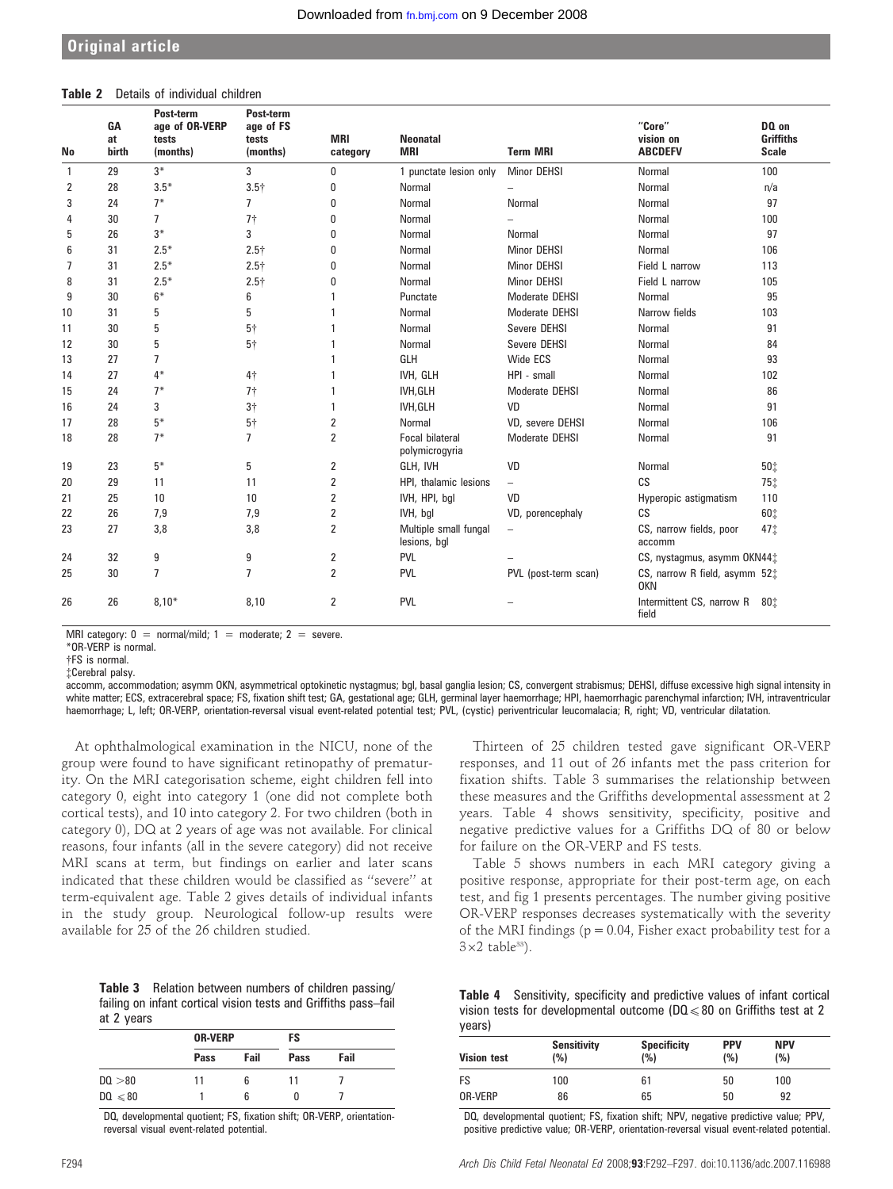# Original article

#### Table 2 Details of individual children

| No             | <b>GA</b><br>at<br>birth | Post-term<br>age of OR-VERP<br>tests<br>(months) | Post-term<br>age of FS<br>tests<br>(months) | <b>MRI</b><br>category | <b>Neonatal</b><br><b>MRI</b>            | <b>Term MRI</b>          | "Core"<br>vision on<br><b>ABCDEFV</b>                   | DQ on<br><b>Griffiths</b><br><b>Scale</b> |
|----------------|--------------------------|--------------------------------------------------|---------------------------------------------|------------------------|------------------------------------------|--------------------------|---------------------------------------------------------|-------------------------------------------|
| 1              | 29                       | $3*$                                             | 3                                           | 0                      | 1 punctate lesion only                   | Minor DEHSI              | Normal                                                  | 100                                       |
| $\overline{2}$ | 28                       | $3.5*$                                           | $3.5 +$                                     | 0                      | Normal                                   |                          | Normal                                                  | n/a                                       |
| 3              | 24                       | $7*$                                             | $\overline{7}$                              | 0                      | Normal                                   | Normal                   | Normal                                                  | 97                                        |
| 4              | 30                       | $\overline{7}$                                   | 7†                                          | 0                      | Normal                                   |                          | Normal                                                  | 100                                       |
| 5              | 26                       | $3*$                                             | 3                                           | 0                      | Normal                                   | Normal                   | Normal                                                  | 97                                        |
| 6              | 31                       | $2.5*$                                           | $2.5 +$                                     | 0                      | Normal                                   | <b>Minor DEHSI</b>       | Normal                                                  | 106                                       |
| 7              | 31                       | $2.5*$                                           | $2.5 +$                                     | 0                      | Normal                                   | <b>Minor DEHSI</b>       | Field L narrow                                          | 113                                       |
| 8              | 31                       | $2.5*$                                           | $2.5 +$                                     | 0                      | Normal                                   | <b>Minor DEHSI</b>       | Field L narrow                                          | 105                                       |
| 9              | 30                       | $6*$                                             | 6                                           |                        | Punctate                                 | Moderate DEHSI           | Normal                                                  | 95                                        |
| 10             | 31                       | 5                                                | 5                                           |                        | Normal                                   | Moderate DEHSI           | Narrow fields                                           | 103                                       |
| 11             | 30                       | 5                                                | $5+$                                        | 1                      | Normal                                   | Severe DEHSI             | Normal                                                  | 91                                        |
| 12             | 30                       | 5                                                | $5+$                                        | 1                      | Normal                                   | Severe DEHSI             | Normal                                                  | 84                                        |
| 13             | 27                       | $\overline{7}$                                   |                                             | 1                      | GLH                                      | Wide ECS                 | Normal                                                  | 93                                        |
| 14             | 27                       | $4*$                                             | 4†                                          |                        | IVH, GLH                                 | HPI - small              | Normal                                                  | 102                                       |
| 15             | 24                       | $7*$                                             | 7†                                          | 1                      | IVH, GLH                                 | Moderate DEHSI           | Normal                                                  | 86                                        |
| 16             | 24                       | 3                                                | $3+$                                        | 1                      | IVH.GLH                                  | VD                       | Normal                                                  | 91                                        |
| 17             | 28                       | $5*$                                             | $5+$                                        | $\overline{2}$         | Normal                                   | VD, severe DEHSI         | Normal                                                  | 106                                       |
| 18             | 28                       | $7*$                                             | $\overline{7}$                              | $\overline{2}$         | <b>Focal bilateral</b><br>polymicrogyria | Moderate DEHSI           | Normal                                                  | 91                                        |
| 19             | 23                       | $5*$                                             | 5                                           | 2                      | GLH, IVH                                 | VD                       | Normal                                                  | 50‡                                       |
| 20             | 29                       | 11                                               | 11                                          | $\overline{2}$         | HPI, thalamic lesions                    | $\overline{\phantom{0}}$ | $\mathsf{CS}$                                           | 751                                       |
| 21             | 25                       | 10                                               | 10                                          | 2                      | IVH, HPI, bgl                            | VD                       | Hyperopic astigmatism                                   | 110                                       |
| 22             | 26                       | 7,9                                              | 7,9                                         | 2                      | IVH, bgl                                 | VD, porencephaly         | CS                                                      | 60‡                                       |
| 23             | 27                       | 3,8                                              | 3,8                                         | 2                      | Multiple small fungal<br>lesions, bgl    | $\overline{\phantom{0}}$ | CS, narrow fields, poor<br>accomm                       | 47 <sup>t</sup>                           |
| 24             | 32                       | 9                                                | 9                                           | 2                      | <b>PVL</b>                               |                          | CS, nystagmus, asymm OKN44 <sup>+</sup>                 |                                           |
| 25             | 30                       | $\overline{7}$                                   | $\overline{7}$                              | $\overline{2}$         | <b>PVL</b>                               | PVL (post-term scan)     | CS, narrow R field, asymm 52 <sup>t</sup><br><b>OKN</b> |                                           |
| 26             | 26                       | $8,10*$                                          | 8,10                                        | $\overline{2}$         | <b>PVL</b>                               |                          | Intermittent CS, narrow R<br>field                      | 80t                                       |

MRI category:  $0 =$  normal/mild;  $1 =$  moderate;  $2 =$  severe.

\*OR-VERP is normal.

{FS is normal.

{Cerebral palsy.

accomm, accommodation; asymm OKN, asymmetrical optokinetic nystagmus; bgl, basal ganglia lesion; CS, convergent strabismus; DEHSI, diffuse excessive high signal intensity in white matter; ECS, extracerebral space; FS, fixation shift test; GA, gestational age; GLH, germinal layer haemorrhage; HPI, haemorrhagic parenchymal infarction; IVH, intraventricular haemorrhage; L, left; OR-VERP, orientation-reversal visual event-related potential test; PVL, (cystic) periventricular leucomalacia; R, right; VD, ventricular dilatation.

At ophthalmological examination in the NICU, none of the group were found to have significant retinopathy of prematurity. On the MRI categorisation scheme, eight children fell into category 0, eight into category 1 (one did not complete both cortical tests), and 10 into category 2. For two children (both in category 0), DQ at 2 years of age was not available. For clinical reasons, four infants (all in the severe category) did not receive MRI scans at term, but findings on earlier and later scans indicated that these children would be classified as ''severe'' at term-equivalent age. Table 2 gives details of individual infants in the study group. Neurological follow-up results were available for 25 of the 26 children studied.

Table 3 Relation between numbers of children passing/ failing on infant cortical vision tests and Griffiths pass–fail at 2 years

|                   | <b>OR-VERP</b> |      | FS   |      |  |
|-------------------|----------------|------|------|------|--|
|                   | Pass           | Fail | Pass | Fail |  |
| DQ > 80           | 11             | 6    | 11   |      |  |
| $DQ \leqslant 80$ |                | 6    | U    |      |  |

DQ, developmental quotient; FS, fixation shift; OR-VERP, orientationreversal visual event-related potential.

Thirteen of 25 children tested gave significant OR-VERP responses, and 11 out of 26 infants met the pass criterion for fixation shifts. Table 3 summarises the relationship between these measures and the Griffiths developmental assessment at 2 years. Table 4 shows sensitivity, specificity, positive and negative predictive values for a Griffiths DQ of 80 or below for failure on the OR-VERP and FS tests.

Table 5 shows numbers in each MRI category giving a positive response, appropriate for their post-term age, on each test, and fig 1 presents percentages. The number giving positive OR-VERP responses decreases systematically with the severity of the MRI findings ( $p = 0.04$ , Fisher exact probability test for a  $3\times2$  table<sup>33</sup>).

|        |  |  | <b>Table 4</b> Sensitivity, specificity and predictive values of infant cortical |  |
|--------|--|--|----------------------------------------------------------------------------------|--|
|        |  |  | vision tests for developmental outcome (DQ $\leqslant$ 80 on Griffiths test at 2 |  |
| vears) |  |  |                                                                                  |  |

| <b>Vision test</b> | <b>Sensitivity</b><br>(%) | <b>Specificity</b><br>(%) | <b>PPV</b><br>(%) | <b>NPV</b><br>(%) |  |
|--------------------|---------------------------|---------------------------|-------------------|-------------------|--|
| FS                 | 100                       | 61                        | 50                | 100               |  |
| OR-VERP            | 86                        | 65                        | 50                | 92                |  |

DQ, developmental quotient; FS, fixation shift; NPV, negative predictive value; PPV, positive predictive value; OR-VERP, orientation-reversal visual event-related potential.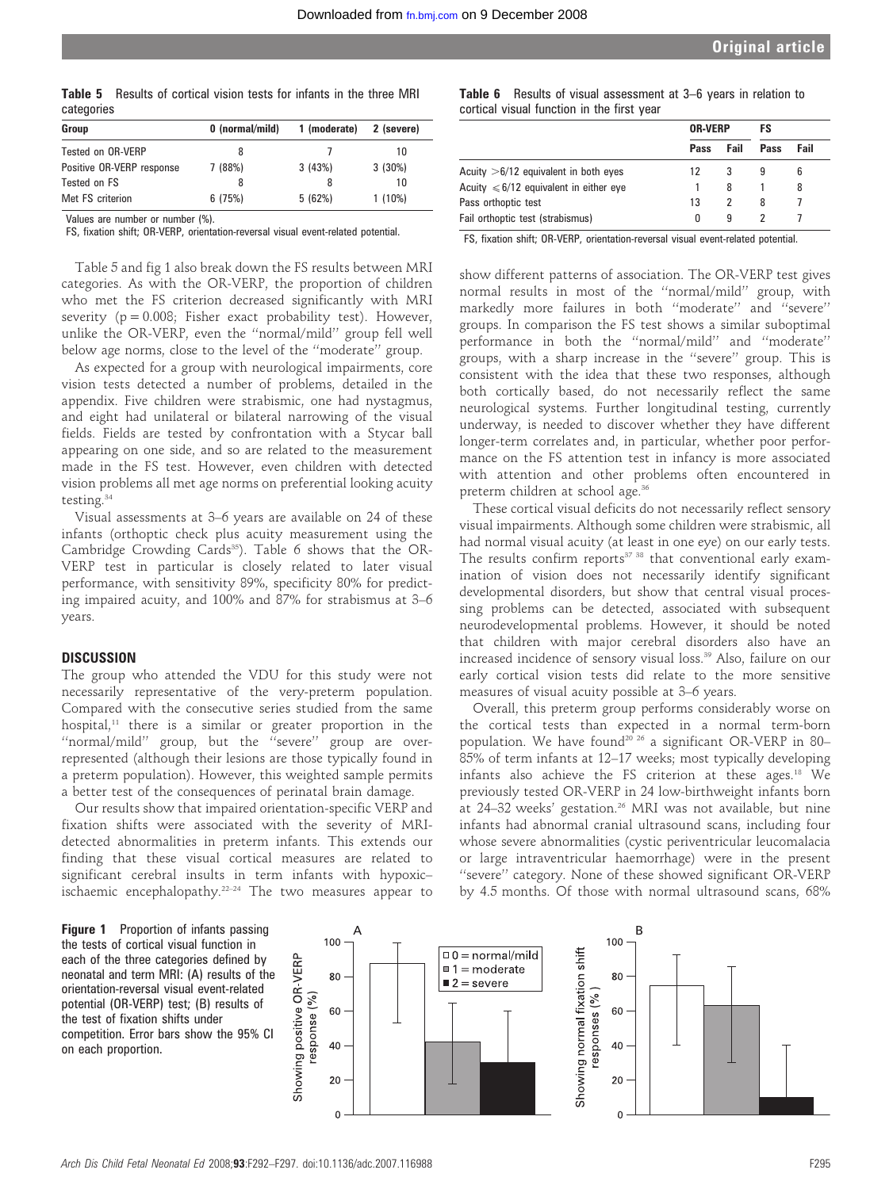Table 5 Results of cortical vision tests for infants in the three MRI categories

| Group                     | 0 (normal/mild) | 1 (moderate) | 2 (severe) |
|---------------------------|-----------------|--------------|------------|
| Tested on OR-VERP         |                 |              | 10         |
| Positive OR-VERP response | 7 (88%)         | 3(43%)       | $3(30\%)$  |
| Tested on FS              |                 |              | 10         |
| Met FS criterion          | 6(75%)          | 5(62%)       | $1(10\%)$  |

Values are number or number (%).

FS, fixation shift; OR-VERP, orientation-reversal visual event-related potential.

Table 5 and fig 1 also break down the FS results between MRI categories. As with the OR-VERP, the proportion of children who met the FS criterion decreased significantly with MRI severity  $(p = 0.008;$  Fisher exact probability test). However, unlike the OR-VERP, even the ''normal/mild'' group fell well below age norms, close to the level of the ''moderate'' group.

As expected for a group with neurological impairments, core vision tests detected a number of problems, detailed in the appendix. Five children were strabismic, one had nystagmus, and eight had unilateral or bilateral narrowing of the visual fields. Fields are tested by confrontation with a Stycar ball appearing on one side, and so are related to the measurement made in the FS test. However, even children with detected vision problems all met age norms on preferential looking acuity testing.34

Visual assessments at 3–6 years are available on 24 of these infants (orthoptic check plus acuity measurement using the Cambridge Crowding Cards<sup>35</sup>). Table 6 shows that the OR-VERP test in particular is closely related to later visual performance, with sensitivity 89%, specificity 80% for predicting impaired acuity, and 100% and 87% for strabismus at 3–6 years.

#### **DISCUSSION**

The group who attended the VDU for this study were not necessarily representative of the very-preterm population. Compared with the consecutive series studied from the same hospital, $11$  there is a similar or greater proportion in the "normal/mild" group, but the "severe" group are overrepresented (although their lesions are those typically found in a preterm population). However, this weighted sample permits a better test of the consequences of perinatal brain damage.

Our results show that impaired orientation-specific VERP and fixation shifts were associated with the severity of MRIdetected abnormalities in preterm infants. This extends our finding that these visual cortical measures are related to significant cerebral insults in term infants with hypoxic– ischaemic encephalopathy. $22-24$  The two measures appear to

Table 6 Results of visual assessment at 3-6 years in relation to cortical visual function in the first year

|                                             | <b>OR-VERP</b> |      | FS   |      |
|---------------------------------------------|----------------|------|------|------|
|                                             | <b>Pass</b>    | Fail | Pass | Fail |
| Acuity $>6/12$ equivalent in both eyes      | 12             | 3    | 9    | 6    |
| Acuity $\leq 6/12$ equivalent in either eye |                | 8    |      | 8    |
| Pass orthoptic test                         | 13             | 2    | 8    |      |
| Fail orthoptic test (strabismus)            | o              | 9    |      |      |

FS, fixation shift; OR-VERP, orientation-reversal visual event-related potential.

show different patterns of association. The OR-VERP test gives normal results in most of the ''normal/mild'' group, with markedly more failures in both ''moderate'' and ''severe'' groups. In comparison the FS test shows a similar suboptimal performance in both the ''normal/mild'' and ''moderate'' groups, with a sharp increase in the ''severe'' group. This is consistent with the idea that these two responses, although both cortically based, do not necessarily reflect the same neurological systems. Further longitudinal testing, currently underway, is needed to discover whether they have different longer-term correlates and, in particular, whether poor performance on the FS attention test in infancy is more associated with attention and other problems often encountered in preterm children at school age.<sup>36</sup>

These cortical visual deficits do not necessarily reflect sensory visual impairments. Although some children were strabismic, all had normal visual acuity (at least in one eye) on our early tests. The results confirm reports $37 38$  that conventional early examination of vision does not necessarily identify significant developmental disorders, but show that central visual processing problems can be detected, associated with subsequent neurodevelopmental problems. However, it should be noted that children with major cerebral disorders also have an increased incidence of sensory visual loss.39 Also, failure on our early cortical vision tests did relate to the more sensitive measures of visual acuity possible at 3–6 years.

Overall, this preterm group performs considerably worse on the cortical tests than expected in a normal term-born population. We have found<sup>20 26</sup> a significant OR-VERP in 80– 85% of term infants at 12–17 weeks; most typically developing infants also achieve the FS criterion at these ages.18 We previously tested OR-VERP in 24 low-birthweight infants born at 24–32 weeks' gestation.<sup>26</sup> MRI was not available, but nine infants had abnormal cranial ultrasound scans, including four whose severe abnormalities (cystic periventricular leucomalacia or large intraventricular haemorrhage) were in the present ''severe'' category. None of these showed significant OR-VERP by 4.5 months. Of those with normal ultrasound scans, 68%

**Figure 1** Proportion of infants passing B 100 the tests of cortical visual function in 100 Showing normal fixation shift<br>responses (%)  $\Box$  0 = normal/mild Showing positive OR-VERP each of the three categories defined by  $\blacksquare$  1 = moderate neonatal and term MRI: (A) results of the 80 80  $2 =$  severe orientation-reversal visual event-related response (%) potential (OR-VERP) test; (B) results of 60 60 the test of fixation shifts under competition. Error bars show the 95% CI 40 40 on each proportion. 20 20  $\Omega$  $\mathbf 0$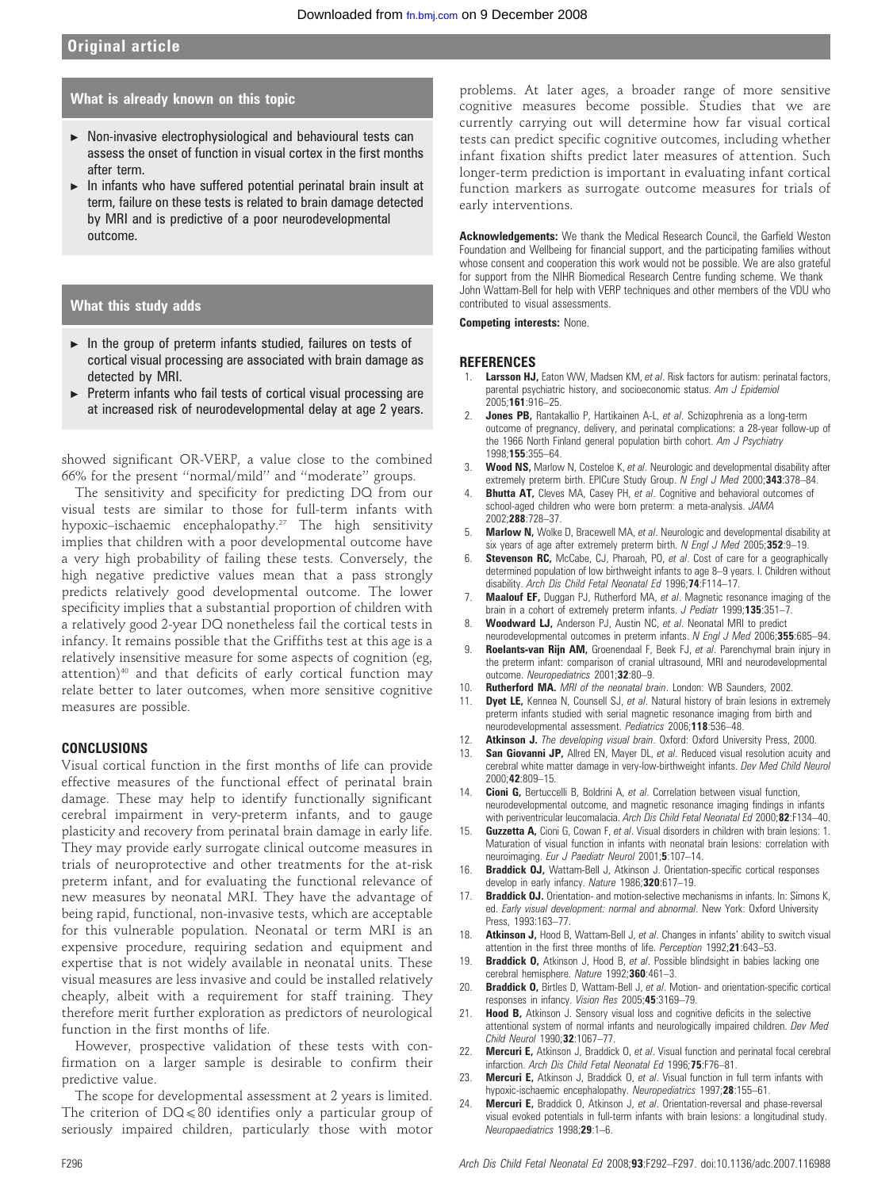# Original article

# What is already known on this topic

- $\triangleright$  Non-invasive electrophysiological and behavioural tests can assess the onset of function in visual cortex in the first months after term.
- $\blacktriangleright$  In infants who have suffered potential perinatal brain insult at term, failure on these tests is related to brain damage detected by MRI and is predictive of a poor neurodevelopmental outcome.

# What this study adds

- $\blacktriangleright$  In the group of preterm infants studied, failures on tests of cortical visual processing are associated with brain damage as detected by MRI.
- Preterm infants who fail tests of cortical visual processing are at increased risk of neurodevelopmental delay at age 2 years.

showed significant OR-VERP, a value close to the combined 66% for the present ''normal/mild'' and ''moderate'' groups.

The sensitivity and specificity for predicting DQ from our visual tests are similar to those for full-term infants with hypoxic–ischaemic encephalopathy.27 The high sensitivity implies that children with a poor developmental outcome have a very high probability of failing these tests. Conversely, the high negative predictive values mean that a pass strongly predicts relatively good developmental outcome. The lower specificity implies that a substantial proportion of children with a relatively good 2-year DQ nonetheless fail the cortical tests in infancy. It remains possible that the Griffiths test at this age is a relatively insensitive measure for some aspects of cognition (eg, attention)<sup>40</sup> and that deficits of early cortical function may relate better to later outcomes, when more sensitive cognitive measures are possible.

### **CONCLUSIONS**

Visual cortical function in the first months of life can provide effective measures of the functional effect of perinatal brain damage. These may help to identify functionally significant cerebral impairment in very-preterm infants, and to gauge plasticity and recovery from perinatal brain damage in early life. They may provide early surrogate clinical outcome measures in trials of neuroprotective and other treatments for the at-risk preterm infant, and for evaluating the functional relevance of new measures by neonatal MRI. They have the advantage of being rapid, functional, non-invasive tests, which are acceptable for this vulnerable population. Neonatal or term MRI is an expensive procedure, requiring sedation and equipment and expertise that is not widely available in neonatal units. These visual measures are less invasive and could be installed relatively cheaply, albeit with a requirement for staff training. They therefore merit further exploration as predictors of neurological function in the first months of life.

However, prospective validation of these tests with confirmation on a larger sample is desirable to confirm their predictive value.

The scope for developmental assessment at 2 years is limited. The criterion of  $DQ \le 80$  identifies only a particular group of seriously impaired children, particularly those with motor

problems. At later ages, a broader range of more sensitive cognitive measures become possible. Studies that we are currently carrying out will determine how far visual cortical tests can predict specific cognitive outcomes, including whether infant fixation shifts predict later measures of attention. Such longer-term prediction is important in evaluating infant cortical function markers as surrogate outcome measures for trials of early interventions.

Acknowledgements: We thank the Medical Research Council, the Garfield Weston Foundation and Wellbeing for financial support, and the participating families without whose consent and cooperation this work would not be possible. We are also grateful for support from the NIHR Biomedical Research Centre funding scheme. We thank John Wattam-Bell for help with VERP techniques and other members of the VDU who contributed to visual assessments.

Competing interests: None.

#### **REFERENCES**

- 1. Larsson HJ, Eaton WW, Madsen KM, et al. Risk factors for autism: perinatal factors, parental psychiatric history, and socioeconomic status. Am J Epidemiol 2005;161:916–25.
- 2. Jones PB, Rantakallio P, Hartikainen A-L, et al. Schizophrenia as a long-term outcome of pregnancy, delivery, and perinatal complications: a 28-year follow-up of the 1966 North Finland general population birth cohort. Am J Psychiatry 1998;155:355–64.
- Wood NS, Marlow N, Costeloe K, et al. Neurologic and developmental disability after extremely preterm birth. EPICure Study Group. N Engl J Med 2000;343:378-84.
- 4. **Bhutta AT,** Cleves MA, Casey PH, et al. Cognitive and behavioral outcomes of school-aged children who were born preterm: a meta-analysis. JAMA 2002;288:728–37.
- 5. Marlow N, Wolke D, Bracewell MA, et al. Neurologic and developmental disability at six years of age after extremely preterm birth. N Engl J Med 2005;352:9-19.
- Stevenson RC, McCabe, CJ, Pharoah, PO, et al. Cost of care for a geographically determined population of low birthweight infants to age 8–9 years. I. Children without disability. Arch Dis Child Fetal Neonatal Ed 1996;74:F114-17.
- 7. Maalouf EF, Duggan PJ, Rutherford MA, et al. Magnetic resonance imaging of the brain in a cohort of extremely preterm infants. J Pediatr 1999;135:351-7.
- 8. Woodward LJ, Anderson PJ, Austin NC, et al. Neonatal MRI to predict neurodevelopmental outcomes in preterm infants. N Engl J Med 2006;355:685-94.
- 9. Roelants-van Rijn AM, Groenendaal F, Beek FJ, et al. Parenchymal brain injury in the preterm infant: comparison of cranial ultrasound, MRI and neurodevelopmental outcome. Neuropediatrics 2001;32:80-9.
- 10. Rutherford MA. MRI of the neonatal brain. London: WB Saunders, 2002.
- Dyet LE, Kennea N, Counsell SJ, et al. Natural history of brain lesions in extremely preterm infants studied with serial magnetic resonance imaging from birth and neurodevelopmental assessment. Pediatrics 2006;118:536–48.
- 12. Atkinson J. The developing visual brain. Oxford: Oxford University Press, 2000.
- 13. San Giovanni JP, Allred EN, Maver DL, et al. Reduced visual resolution acuity and cerebral white matter damage in very-low-birthweight infants. Dev Med Child Neurol 2000;42:809–15.
- 14. Cioni G, Bertuccelli B, Boldrini A, et al. Correlation between visual function, neurodevelopmental outcome, and magnetic resonance imaging findings in infants with periventricular leucomalacia. Arch Dis Child Fetal Neonatal Ed 2000:82:F134-40.
- **Guzzetta A, Cioni G, Cowan F, et al. Visual disorders in children with brain lesions: 1.** Maturation of visual function in infants with neonatal brain lesions: correlation with neuroimaging. Eur J Paediatr Neurol 2001;5:107–14.
- 16. **Braddick OJ,** Wattam-Bell J, Atkinson J. Orientation-specific cortical responses develop in early infancy. Nature 1986;320:617-19.
- 17. Braddick OJ. Orientation- and motion-selective mechanisms in infants. In: Simons K, ed. *Early visual development: normal and abnormal*. New York: Oxford University Press, 1993:163–77.
- 18. **Atkinson J,** Hood B, Wattam-Bell J, et al. Changes in infants' ability to switch visual attention in the first three months of life. Perception 1992;21:643–53.
- 19. **Braddick O,** Atkinson J, Hood B, et al. Possible blindsight in babies lacking one cerebral hemisphere. Nature 1992;360:461-3.
- 20. Braddick O, Birtles D, Wattam-Bell J, et al. Motion- and orientation-specific cortical responses in infancy. Vision Res 2005;45:3169–79.
- 21. Hood B, Atkinson J. Sensory visual loss and cognitive deficits in the selective attentional system of normal infants and neurologically impaired children. Dev Med Child Neurol 1990;32:1067–77.
- 22. Mercuri E, Atkinson J, Braddick O, et al. Visual function and perinatal focal cerebral infarction. Arch Dis Child Fetal Neonatal Ed 1996;75:F76-81.
- 23. Mercuri E, Atkinson J, Braddick O, et al. Visual function in full term infants with hypoxic-ischaemic encephalopathy. Neuropediatrics 1997;28:155-61.
- 24. Mercuri E, Braddick O, Atkinson J, et al. Orientation-reversal and phase-reversal visual evoked potentials in full-term infants with brain lesions: a longitudinal study. Neuropaediatrics 1998;29:1–6.